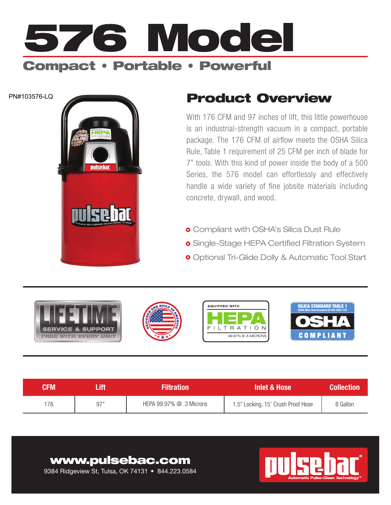

PN#103576-LQ



## Product Overview

With 176 CFM and 97 inches of lift, this little powerhouse is an industrial-strength vacuum in a compact, portable package. The 176 CFM of airflow meets the OSHA Silica Rule, Table 1 requirement of 25 CFM per inch of blade for 7" tools. With this kind of power inside the body of a 500 Series, the 576 model can effortlessly and effectively handle a wide variety of fine jobsite materials including concrete, drywall, and wood.

- **o** Compliant with OSHA's Silica Dust Rule
- **o** Single-Stage HEPA Certified Filtration System
- **o** Optional Tri-Glide Dolly & Automatic Tool Start



| CFM | ift | <b>Filtration</b>            | Inlet & Hose                       | <b>Collection</b> |
|-----|-----|------------------------------|------------------------------------|-------------------|
| 176 | Q7" | HEPA $99.97\%$ $@.3$ Microns | 1.5" Locking, 15' Crush Proof Hose | 8 Gallon          |

### www.pulsebac.com

9384 Ridgeview St, Tulsa, OK 74131 • 844.223.0584